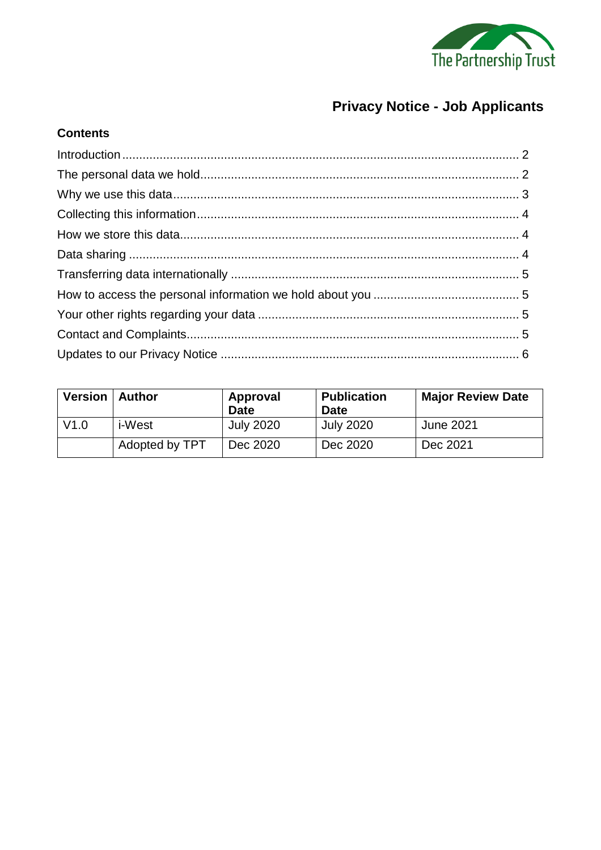

# **Privacy Notice - Job Applicants**

# 

**Contents** 

| <b>Version   Author</b> |                | Approval<br>Date | <b>Publication</b><br><b>Date</b> | <b>Major Review Date</b> |
|-------------------------|----------------|------------------|-----------------------------------|--------------------------|
| V1.0                    | <i>i</i> -West | <b>July 2020</b> | <b>July 2020</b>                  | <b>June 2021</b>         |
|                         | Adopted by TPT | Dec 2020         | Dec 2020                          | Dec 2021                 |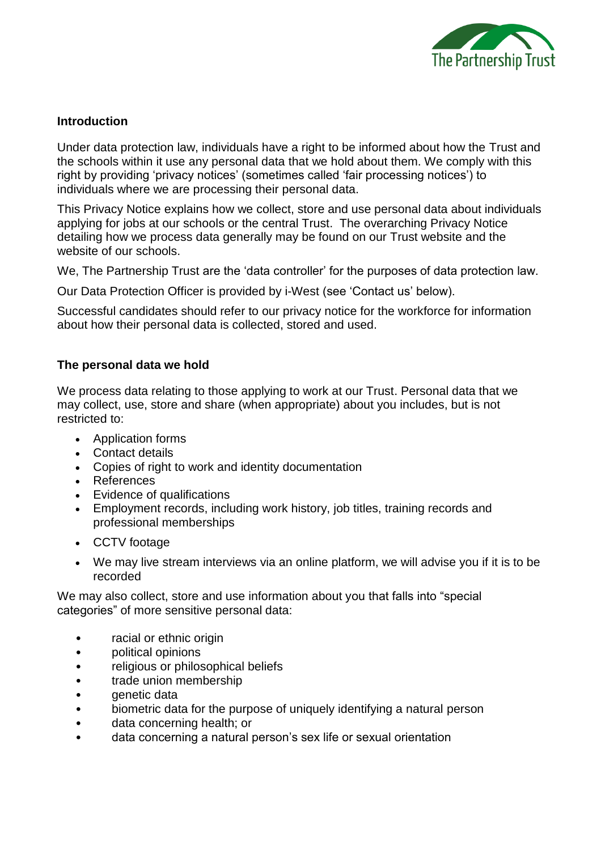

#### <span id="page-1-0"></span>**Introduction**

Under data protection law, individuals have a right to be informed about how the Trust and the schools within it use any personal data that we hold about them. We comply with this right by providing 'privacy notices' (sometimes called 'fair processing notices') to individuals where we are processing their personal data.

This Privacy Notice explains how we collect, store and use personal data about individuals applying for jobs at our schools or the central Trust. The overarching Privacy Notice detailing how we process data generally may be found on our Trust website and the website of our schools.

We, The Partnership Trust are the 'data controller' for the purposes of data protection law.

Our Data Protection Officer is provided by i-West (see 'Contact us' below).

Successful candidates should refer to our privacy notice for the workforce for information about how their personal data is collected, stored and used.

#### <span id="page-1-1"></span>**The personal data we hold**

We process data relating to those applying to work at our Trust. Personal data that we may collect, use, store and share (when appropriate) about you includes, but is not restricted to:

- Application forms
- Contact details
- Copies of right to work and identity documentation
- References
- Evidence of qualifications
- Employment records, including work history, job titles, training records and professional memberships
- CCTV footage
- We may live stream interviews via an online platform, we will advise you if it is to be recorded

We may also collect, store and use information about you that falls into "special categories" of more sensitive personal data:

- racial or ethnic origin
- political opinions
- religious or philosophical beliefs
- trade union membership
- genetic data
- biometric data for the purpose of uniquely identifying a natural person
- data concerning health; or
- data concerning a natural person's sex life or sexual orientation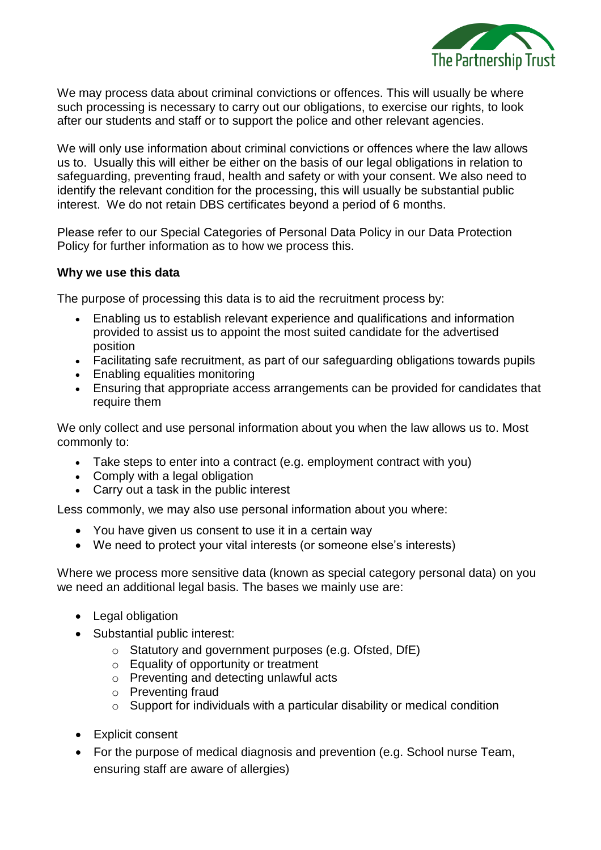

We may process data about criminal convictions or offences. This will usually be where such processing is necessary to carry out our obligations, to exercise our rights, to look after our students and staff or to support the police and other relevant agencies.

We will only use information about criminal convictions or offences where the law allows us to. Usually this will either be either on the basis of our legal obligations in relation to safeguarding, preventing fraud, health and safety or with your consent. We also need to identify the relevant condition for the processing, this will usually be substantial public interest. We do not retain DBS certificates beyond a period of 6 months.

Please refer to our Special Categories of Personal Data Policy in our Data Protection Policy for further information as to how we process this.

#### <span id="page-2-0"></span>**Why we use this data**

The purpose of processing this data is to aid the recruitment process by:

- Enabling us to establish relevant experience and qualifications and information provided to assist us to appoint the most suited candidate for the advertised position
- Facilitating safe recruitment, as part of our safeguarding obligations towards pupils
- Enabling equalities monitoring
- Ensuring that appropriate access arrangements can be provided for candidates that require them

We only collect and use personal information about you when the law allows us to. Most commonly to:

- Take steps to enter into a contract (e.g. employment contract with you)
- Comply with a legal obligation
- Carry out a task in the public interest

Less commonly, we may also use personal information about you where:

- You have given us consent to use it in a certain way
- We need to protect your vital interests (or someone else's interests)

Where we process more sensitive data (known as special category personal data) on you we need an additional legal basis. The bases we mainly use are:

- Legal obligation
- Substantial public interest:
	- o Statutory and government purposes (e.g. Ofsted, DfE)
	- $\circ$  Equality of opportunity or treatment
	- o Preventing and detecting unlawful acts
	- o Preventing fraud
	- o Support for individuals with a particular disability or medical condition
- Explicit consent
- For the purpose of medical diagnosis and prevention (e.g. School nurse Team, ensuring staff are aware of allergies)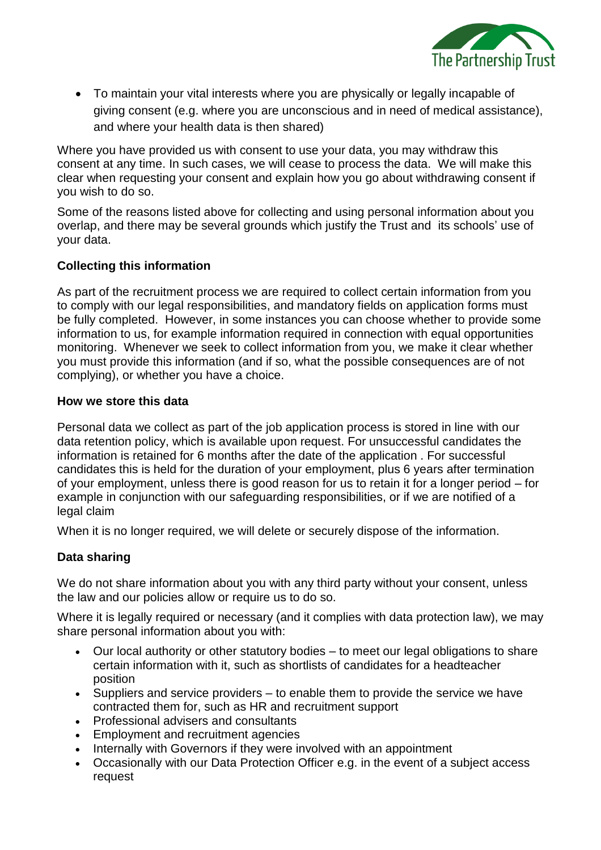

 To maintain your vital interests where you are physically or legally incapable of giving consent (e.g. where you are unconscious and in need of medical assistance), and where your health data is then shared)

Where you have provided us with consent to use your data, you may withdraw this consent at any time. In such cases, we will cease to process the data. We will make this clear when requesting your consent and explain how you go about withdrawing consent if you wish to do so.

Some of the reasons listed above for collecting and using personal information about you overlap, and there may be several grounds which justify the Trust and its schools' use of your data.

# <span id="page-3-0"></span>**Collecting this information**

As part of the recruitment process we are required to collect certain information from you to comply with our legal responsibilities, and mandatory fields on application forms must be fully completed. However, in some instances you can choose whether to provide some information to us, for example information required in connection with equal opportunities monitoring. Whenever we seek to collect information from you, we make it clear whether you must provide this information (and if so, what the possible consequences are of not complying), or whether you have a choice.

#### <span id="page-3-1"></span>**How we store this data**

Personal data we collect as part of the job application process is stored in line with our data retention policy, which is available upon request. For unsuccessful candidates the information is retained for 6 months after the date of the application . For successful candidates this is held for the duration of your employment, plus 6 years after termination of your employment, unless there is good reason for us to retain it for a longer period – for example in conjunction with our safeguarding responsibilities, or if we are notified of a legal claim

When it is no longer required, we will delete or securely dispose of the information.

#### <span id="page-3-2"></span>**Data sharing**

We do not share information about you with any third party without your consent, unless the law and our policies allow or require us to do so.

Where it is legally required or necessary (and it complies with data protection law), we may share personal information about you with:

- Our local authority or other statutory bodies to meet our legal obligations to share certain information with it, such as shortlists of candidates for a headteacher position
- Suppliers and service providers to enable them to provide the service we have contracted them for, such as HR and recruitment support
- Professional advisers and consultants
- Employment and recruitment agencies
- Internally with Governors if they were involved with an appointment
- Occasionally with our Data Protection Officer e.g. in the event of a subject access request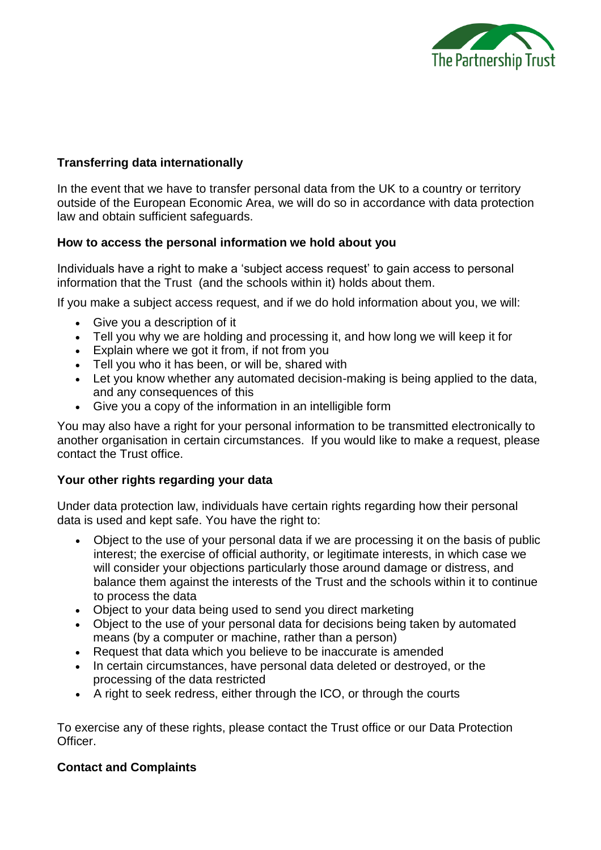

# <span id="page-4-0"></span>**Transferring data internationally**

In the event that we have to transfer personal data from the UK to a country or territory outside of the European Economic Area, we will do so in accordance with data protection law and obtain sufficient safeguards.

# <span id="page-4-1"></span>**How to access the personal information we hold about you**

Individuals have a right to make a 'subject access request' to gain access to personal information that the Trust (and the schools within it) holds about them.

If you make a subject access request, and if we do hold information about you, we will:

- Give you a description of it
- Tell you why we are holding and processing it, and how long we will keep it for
- Explain where we got it from, if not from you
- Tell you who it has been, or will be, shared with
- Let you know whether any automated decision-making is being applied to the data, and any consequences of this
- Give you a copy of the information in an intelligible form

You may also have a right for your personal information to be transmitted electronically to another organisation in certain circumstances. If you would like to make a request, please contact the Trust office.

#### <span id="page-4-2"></span>**Your other rights regarding your data**

Under data protection law, individuals have certain rights regarding how their personal data is used and kept safe. You have the right to:

- Object to the use of your personal data if we are processing it on the basis of public interest; the exercise of official authority, or legitimate interests, in which case we will consider your objections particularly those around damage or distress, and balance them against the interests of the Trust and the schools within it to continue to process the data
- Object to your data being used to send you direct marketing
- Object to the use of your personal data for decisions being taken by automated means (by a computer or machine, rather than a person)
- Request that data which you believe to be inaccurate is amended
- In certain circumstances, have personal data deleted or destroyed, or the processing of the data restricted
- A right to seek redress, either through the ICO, or through the courts

To exercise any of these rights, please contact the Trust office or our Data Protection Officer.

# <span id="page-4-3"></span>**Contact and Complaints**